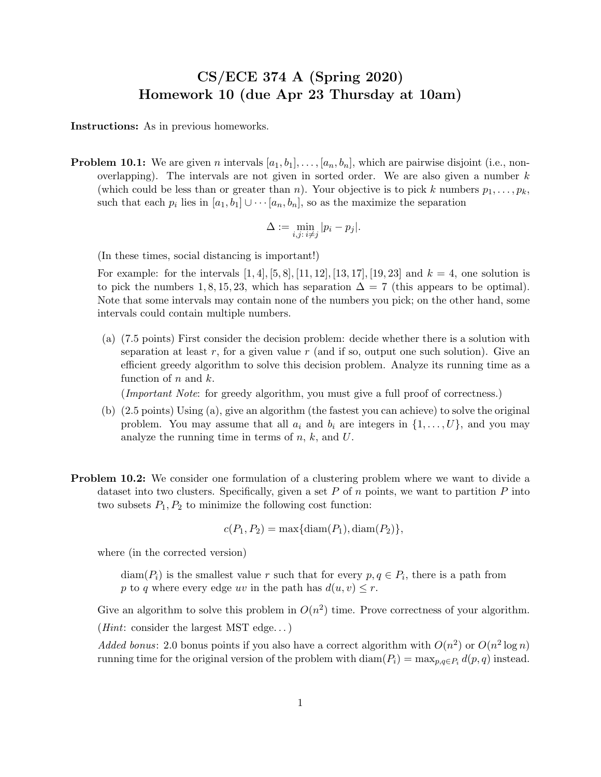## CS/ECE 374 A (Spring 2020) Homework 10 (due Apr 23 Thursday at 10am)

Instructions: As in previous homeworks.

**Problem 10.1:** We are given n intervals  $[a_1, b_1], \ldots, [a_n, b_n]$ , which are pairwise disjoint (i.e., nonoverlapping). The intervals are not given in sorted order. We are also given a number  $k$ (which could be less than or greater than n). Your objective is to pick k numbers  $p_1, \ldots, p_k$ , such that each  $p_i$  lies in  $[a_1, b_1] \cup \cdots [a_n, b_n]$ , so as the maximize the separation

$$
\Delta := \min_{i,j: \ i \neq j} |p_i - p_j|.
$$

(In these times, social distancing is important!)

For example: for the intervals  $[1, 4]$ ,  $[5, 8]$ ,  $[11, 12]$ ,  $[13, 17]$ ,  $[19, 23]$  and  $k = 4$ , one solution is to pick the numbers 1, 8, 15, 23, which has separation  $\Delta = 7$  (this appears to be optimal). Note that some intervals may contain none of the numbers you pick; on the other hand, some intervals could contain multiple numbers.

(a) (7.5 points) First consider the decision problem: decide whether there is a solution with separation at least r, for a given value r (and if so, output one such solution). Give an efficient greedy algorithm to solve this decision problem. Analyze its running time as a function of  $n$  and  $k$ .

(Important Note: for greedy algorithm, you must give a full proof of correctness.)

- (b) (2.5 points) Using (a), give an algorithm (the fastest you can achieve) to solve the original problem. You may assume that all  $a_i$  and  $b_i$  are integers in  $\{1, \ldots, U\}$ , and you may analyze the running time in terms of  $n, k$ , and  $U$ .
- Problem 10.2: We consider one formulation of a clustering problem where we want to divide a dataset into two clusters. Specifically, given a set  $P$  of  $n$  points, we want to partition  $P$  into two subsets  $P_1, P_2$  to minimize the following cost function:

 $c(P_1, P_2) = \max{\{\text{diam}(P_1), \text{diam}(P_2)\}},$ 

where (in the corrected version)

 $\text{diam}(P_i)$  is the smallest value r such that for every  $p, q \in P_i$ , there is a path from p to q where every edge uv in the path has  $d(u, v) \leq r$ .

Give an algorithm to solve this problem in  $O(n^2)$  time. Prove correctness of your algorithm. (*Hint*: consider the largest MST edge...)

Added bonus: 2.0 bonus points if you also have a correct algorithm with  $O(n^2)$  or  $O(n^2 \log n)$ running time for the original version of the problem with  $\text{diam}(P_i) = \max_{p,q \in P_i} d(p,q)$  instead.